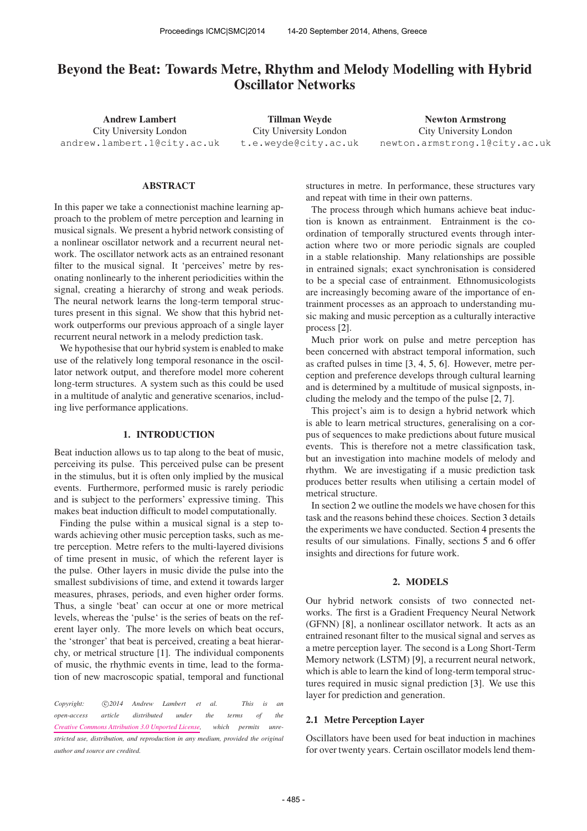# Beyond the Beat: Towards Metre, Rhythm and Melody Modelling with Hybrid Oscillator Networks

Andrew Lambert City University London [andrew.lambert.1@city.ac.uk](mailto:andrew.lambert.1@city.ac.uk)

Tillman Weyde City University London [t.e.weyde@city.ac.uk](mailto:t.e.weyde@city.ac.uk)

Newton Armstrong City University London [newton.armstrong.1@city.ac.uk](mailto:newton.armstrong.1@city.ac.uk)

## ABSTRACT

In this paper we take a connectionist machine learning approach to the problem of metre perception and learning in musical signals. We present a hybrid network consisting of a nonlinear oscillator network and a recurrent neural network. The oscillator network acts as an entrained resonant filter to the musical signal. It 'perceives' metre by resonating nonlinearly to the inherent periodicities within the signal, creating a hierarchy of strong and weak periods. The neural network learns the long-term temporal structures present in this signal. We show that this hybrid network outperforms our previous approach of a single layer recurrent neural network in a melody prediction task.

We hypothesise that our hybrid system is enabled to make use of the relatively long temporal resonance in the oscillator network output, and therefore model more coherent long-term structures. A system such as this could be used in a multitude of analytic and generative scenarios, including live performance applications.

#### 1. INTRODUCTION

Beat induction allows us to tap along to the beat of music, perceiving its pulse. This perceived pulse can be present in the stimulus, but it is often only implied by the musical events. Furthermore, performed music is rarely periodic and is subject to the performers' expressive timing. This makes beat induction difficult to model computationally.

Finding the pulse within a musical signal is a step towards achieving other music perception tasks, such as metre perception. Metre refers to the multi-layered divisions of time present in music, of which the referent layer is the pulse. Other layers in music divide the pulse into the smallest subdivisions of time, and extend it towards larger measures, phrases, periods, and even higher order forms. Thus, a single 'beat' can occur at one or more metrical levels, whereas the 'pulse' is the series of beats on the referent layer only. The more levels on which beat occurs, the 'stronger' that beat is perceived, creating a beat hierarchy, or metrical structure [1]. The individual components of music, the rhythmic events in time, lead to the formation of new macroscopic spatial, temporal and functional

*Copyright:*  $\bigcirc$  *c*)2014 Andrew Lambert et al. This is an *open-access article distributed under the terms of the [Creative Commons Attribution 3.0 Unported License,](http://creativecommons.org/licenses/by/3.0/) which permits unrestricted use, distribution, and reproduction in any medium, provided the original author and source are credited.*

structures in metre. In performance, these structures vary and repeat with time in their own patterns.

The process through which humans achieve beat induction is known as entrainment. Entrainment is the coordination of temporally structured events through interaction where two or more periodic signals are coupled in a stable relationship. Many relationships are possible in entrained signals; exact synchronisation is considered to be a special case of entrainment. Ethnomusicologists are increasingly becoming aware of the importance of entrainment processes as an approach to understanding music making and music perception as a culturally interactive process [2].

Much prior work on pulse and metre perception has been concerned with abstract temporal information, such as crafted pulses in time [3, 4, 5, 6]. However, metre perception and preference develops through cultural learning and is determined by a multitude of musical signposts, including the melody and the tempo of the pulse [2, 7].

This project's aim is to design a hybrid network which is able to learn metrical structures, generalising on a corpus of sequences to make predictions about future musical events. This is therefore not a metre classification task, but an investigation into machine models of melody and rhythm. We are investigating if a music prediction task produces better results when utilising a certain model of metrical structure.

In section 2 we outline the models we have chosen for this task and the reasons behind these choices. Section 3 details the experiments we have conducted. Section 4 presents the results of our simulations. Finally, sections 5 and 6 offer insights and directions for future work.

## 2. MODELS

Our hybrid network consists of two connected networks. The first is a Gradient Frequency Neural Network (GFNN) [8], a nonlinear oscillator network. It acts as an entrained resonant filter to the musical signal and serves as a metre perception layer. The second is a Long Short-Term Memory network (LSTM) [9], a recurrent neural network, which is able to learn the kind of long-term temporal structures required in music signal prediction [3]. We use this layer for prediction and generation.

#### 2.1 Metre Perception Layer

Oscillators have been used for beat induction in machines for over twenty years. Certain oscillator models lend them-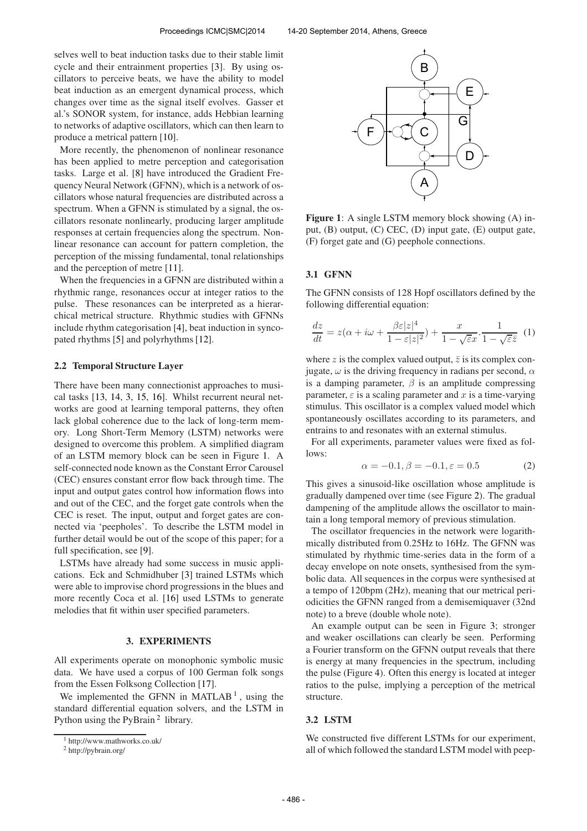selves well to beat induction tasks due to their stable limit cycle and their entrainment properties [3]. By using oscillators to perceive beats, we have the ability to model beat induction as an emergent dynamical process, which changes over time as the signal itself evolves. Gasser et al.'s SONOR system, for instance, adds Hebbian learning to networks of adaptive oscillators, which can then learn to produce a metrical pattern [10].

More recently, the phenomenon of nonlinear resonance has been applied to metre perception and categorisation tasks. Large et al. [8] have introduced the Gradient Frequency Neural Network (GFNN), which is a network of oscillators whose natural frequencies are distributed across a spectrum. When a GFNN is stimulated by a signal, the oscillators resonate nonlinearly, producing larger amplitude responses at certain frequencies along the spectrum. Nonlinear resonance can account for pattern completion, the perception of the missing fundamental, tonal relationships and the perception of metre [11].

When the frequencies in a GFNN are distributed within a rhythmic range, resonances occur at integer ratios to the pulse. These resonances can be interpreted as a hierarchical metrical structure. Rhythmic studies with GFNNs include rhythm categorisation [4], beat induction in syncopated rhythms [5] and polyrhythms [12].

#### 2.2 Temporal Structure Layer

There have been many connectionist approaches to musical tasks [13, 14, 3, 15, 16]. Whilst recurrent neural networks are good at learning temporal patterns, they often lack global coherence due to the lack of long-term memory. Long Short-Term Memory (LSTM) networks were designed to overcome this problem. A simplified diagram of an LSTM memory block can be seen in Figure 1. A self-connected node known as the Constant Error Carousel (CEC) ensures constant error flow back through time. The input and output gates control how information flows into and out of the CEC, and the forget gate controls when the CEC is reset. The input, output and forget gates are connected via 'peepholes'. To describe the LSTM model in further detail would be out of the scope of this paper; for a full specification, see [9].

LSTMs have already had some success in music applications. Eck and Schmidhuber [3] trained LSTMs which were able to improvise chord progressions in the blues and more recently Coca et al. [16] used LSTMs to generate melodies that fit within user specified parameters.

## 3. EXPERIMENTS

All experiments operate on monophonic symbolic music data. We have used a corpus of 100 German folk songs from the Essen Folksong Collection [17].

We implemented the GFNN in MATLAB<sup>1</sup>, using the standard differential equation solvers, and the LSTM in Python using the PyBrain<sup>2</sup> library.



Figure 1: A single LSTM memory block showing (A) input, (B) output, (C) CEC, (D) input gate, (E) output gate, (F) forget gate and (G) peephole connections.

# 3.1 GFNN

The GFNN consists of 128 Hopf oscillators defined by the following differential equation:

$$
\frac{dz}{dt} = z(\alpha + i\omega + \frac{\beta \varepsilon |z|^4}{1 - \varepsilon |z|^2}) + \frac{x}{1 - \sqrt{\varepsilon}x} \cdot \frac{1}{1 - \sqrt{\varepsilon}\overline{z}} \tag{1}
$$

where z is the complex valued output,  $\overline{z}$  is its complex conjugate,  $\omega$  is the driving frequency in radians per second,  $\alpha$ is a damping parameter,  $\beta$  is an amplitude compressing parameter,  $\varepsilon$  is a scaling parameter and x is a time-varying stimulus. This oscillator is a complex valued model which spontaneously oscillates according to its parameters, and entrains to and resonates with an external stimulus.

For all experiments, parameter values were fixed as follows:

$$
\alpha = -0.1, \beta = -0.1, \varepsilon = 0.5 \tag{2}
$$

This gives a sinusoid-like oscillation whose amplitude is gradually dampened over time (see Figure 2). The gradual dampening of the amplitude allows the oscillator to maintain a long temporal memory of previous stimulation.

The oscillator frequencies in the network were logarithmically distributed from 0.25Hz to 16Hz. The GFNN was stimulated by rhythmic time-series data in the form of a decay envelope on note onsets, synthesised from the symbolic data. All sequences in the corpus were synthesised at a tempo of 120bpm (2Hz), meaning that our metrical periodicities the GFNN ranged from a demisemiquaver (32nd note) to a breve (double whole note).

An example output can be seen in Figure 3; stronger and weaker oscillations can clearly be seen. Performing a Fourier transform on the GFNN output reveals that there is energy at many frequencies in the spectrum, including the pulse (Figure 4). Often this energy is located at integer ratios to the pulse, implying a perception of the metrical structure.

## 3.2 LSTM

We constructed five different LSTMs for our experiment, all of which followed the standard LSTM model with peep-

<sup>1</sup> http://www.mathworks.co.uk/

<sup>2</sup> http://pybrain.org/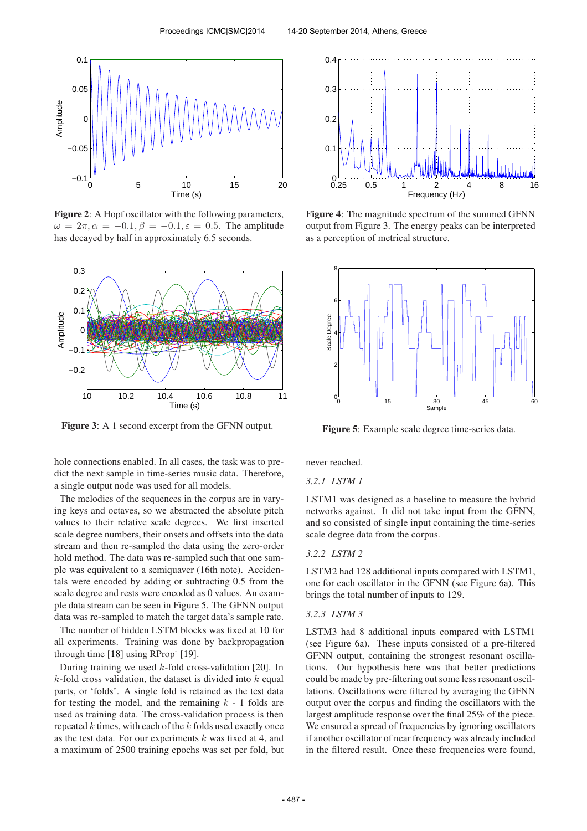

Figure 2: A Hopf oscillator with the following parameters,  $\omega = 2\pi, \alpha = -0.1, \beta = -0.1, \varepsilon = 0.5$ . The amplitude has decayed by half in approximately 6.5 seconds.



Figure 3: A 1 second excerpt from the GFNN output.

hole connections enabled. In all cases, the task was to predict the next sample in time-series music data. Therefore, a single output node was used for all models.

The melodies of the sequences in the corpus are in varying keys and octaves, so we abstracted the absolute pitch values to their relative scale degrees. We first inserted scale degree numbers, their onsets and offsets into the data stream and then re-sampled the data using the zero-order hold method. The data was re-sampled such that one sample was equivalent to a semiquaver (16th note). Accidentals were encoded by adding or subtracting 0.5 from the scale degree and rests were encoded as 0 values. An example data stream can be seen in Figure 5. The GFNN output data was re-sampled to match the target data's sample rate.

The number of hidden LSTM blocks was fixed at 10 for all experiments. Training was done by backpropagation through time [18] using RProp<sup>-</sup> [19].

During training we used  $k$ -fold cross-validation [20]. In  $k$ -fold cross validation, the dataset is divided into  $k$  equal parts, or 'folds'. A single fold is retained as the test data for testing the model, and the remaining  $k - 1$  folds are used as training data. The cross-validation process is then repeated  $k$  times, with each of the  $k$  folds used exactly once as the test data. For our experiments  $k$  was fixed at 4, and a maximum of 2500 training epochs was set per fold, but



Figure 4: The magnitude spectrum of the summed GFNN output from Figure 3. The energy peaks can be interpreted as a perception of metrical structure.



Figure 5: Example scale degree time-series data.

never reached.

## *3.2.1 LSTM 1*

LSTM1 was designed as a baseline to measure the hybrid networks against. It did not take input from the GFNN, and so consisted of single input containing the time-series scale degree data from the corpus.

## *3.2.2 LSTM 2*

LSTM2 had 128 additional inputs compared with LSTM1, one for each oscillator in the GFNN (see Figure 6a). This brings the total number of inputs to 129.

#### *3.2.3 LSTM 3*

LSTM3 had 8 additional inputs compared with LSTM1 (see Figure 6a). These inputs consisted of a pre-filtered GFNN output, containing the strongest resonant oscillations. Our hypothesis here was that better predictions could be made by pre-filtering out some less resonant oscillations. Oscillations were filtered by averaging the GFNN output over the corpus and finding the oscillators with the largest amplitude response over the final 25% of the piece. We ensured a spread of frequencies by ignoring oscillators if another oscillator of near frequency was already included in the filtered result. Once these frequencies were found,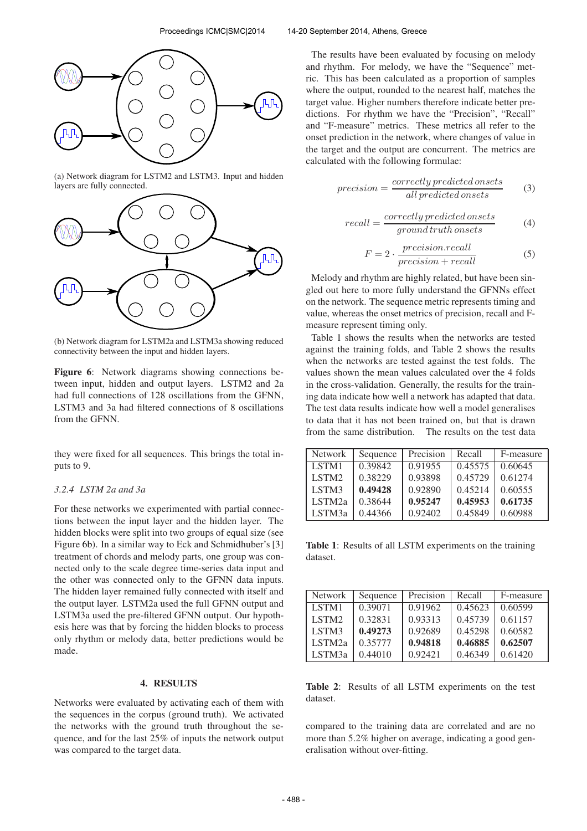

(a) Network diagram for LSTM2 and LSTM3. Input and hidden layers are fully connected.



(b) Network diagram for LSTM2a and LSTM3a showing reduced connectivity between the input and hidden layers.

Figure 6: Network diagrams showing connections between input, hidden and output layers. LSTM2 and 2a had full connections of 128 oscillations from the GFNN, LSTM3 and 3a had filtered connections of 8 oscillations from the GFNN.

they were fixed for all sequences. This brings the total inputs to 9.

#### *3.2.4 LSTM 2a and 3a*

For these networks we experimented with partial connections between the input layer and the hidden layer. The hidden blocks were split into two groups of equal size (see Figure 6b). In a similar way to Eck and Schmidhuber's [3] treatment of chords and melody parts, one group was connected only to the scale degree time-series data input and the other was connected only to the GFNN data inputs. The hidden layer remained fully connected with itself and the output layer. LSTM2a used the full GFNN output and LSTM3a used the pre-filtered GFNN output. Our hypothesis here was that by forcing the hidden blocks to process only rhythm or melody data, better predictions would be made.

#### 4. RESULTS

Networks were evaluated by activating each of them with the sequences in the corpus (ground truth). We activated the networks with the ground truth throughout the sequence, and for the last 25% of inputs the network output was compared to the target data.

The results have been evaluated by focusing on melody and rhythm. For melody, we have the "Sequence" metric. This has been calculated as a proportion of samples where the output, rounded to the nearest half, matches the target value. Higher numbers therefore indicate better predictions. For rhythm we have the "Precision", "Recall" and "F-measure" metrics. These metrics all refer to the onset prediction in the network, where changes of value in the target and the output are concurrent. The metrics are calculated with the following formulae:

$$
precision = \frac{correctly\,predicted\,onsets}{all\,predicted\,onsets} \tag{3}
$$

$$
recall = \frac{correctly\,predicted\,onsets}{ground\,truth\,onsets} \tag{4}
$$

$$
F = 2 \cdot \frac{precision \cdot recall}{precision + recall}
$$
 (5)

Melody and rhythm are highly related, but have been singled out here to more fully understand the GFNNs effect on the network. The sequence metric represents timing and value, whereas the onset metrics of precision, recall and Fmeasure represent timing only.

Table 1 shows the results when the networks are tested against the training folds, and Table 2 shows the results when the networks are tested against the test folds. The values shown the mean values calculated over the 4 folds in the cross-validation. Generally, the results for the training data indicate how well a network has adapted that data. The test data results indicate how well a model generalises to data that it has not been trained on, but that is drawn from the same distribution. The results on the test data

| <b>Network</b>     | Sequence | Precision | Recall  | F-measure |
|--------------------|----------|-----------|---------|-----------|
| LSTM1              | 0.39842  | 0.91955   | 0.45575 | 0.60645   |
| LSTM <sub>2</sub>  | 0.38229  | 0.93898   | 0.45729 | 0.61274   |
| LSTM3              | 0.49428  | 0.92890   | 0.45214 | 0.60555   |
| LSTM <sub>2a</sub> | 0.38644  | 0.95247   | 0.45953 | 0.61735   |
| LSTM3a             | 0.44366  | 0.92402   | 0.45849 | 0.60988   |

Table 1: Results of all LSTM experiments on the training dataset.

| Network            | Sequence | Precision | Recall  | F-measure |
|--------------------|----------|-----------|---------|-----------|
| LSTM1              | 0.39071  | 0.91962   | 0.45623 | 0.60599   |
| LSTM <sub>2</sub>  | 0.32831  | 0.93313   | 0.45739 | 0.61157   |
| LSTM3              | 0.49273  | 0.92689   | 0.45298 | 0.60582   |
| LSTM <sub>2a</sub> | 0.35777  | 0.94818   | 0.46885 | 0.62507   |
| LSTM <sub>3a</sub> | 0.44010  | 0.92421   | 0.46349 | 0.61420   |

Table 2: Results of all LSTM experiments on the test dataset.

compared to the training data are correlated and are no more than 5.2% higher on average, indicating a good generalisation without over-fitting.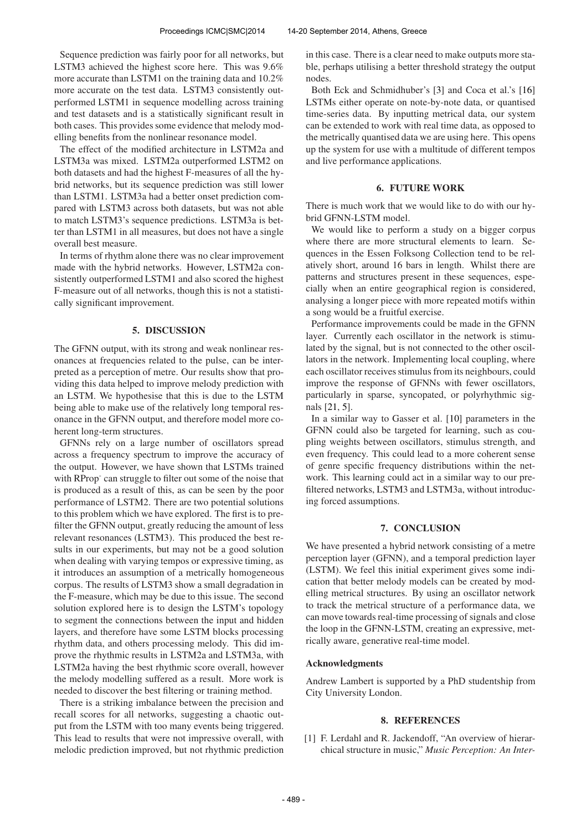Sequence prediction was fairly poor for all networks, but LSTM3 achieved the highest score here. This was 9.6% more accurate than LSTM1 on the training data and 10.2% more accurate on the test data. LSTM3 consistently outperformed LSTM1 in sequence modelling across training and test datasets and is a statistically significant result in both cases. This provides some evidence that melody modelling benefits from the nonlinear resonance model.

The effect of the modified architecture in LSTM2a and LSTM3a was mixed. LSTM2a outperformed LSTM2 on both datasets and had the highest F-measures of all the hybrid networks, but its sequence prediction was still lower than LSTM1. LSTM3a had a better onset prediction compared with LSTM3 across both datasets, but was not able to match LSTM3's sequence predictions. LSTM3a is better than LSTM1 in all measures, but does not have a single overall best measure.

In terms of rhythm alone there was no clear improvement made with the hybrid networks. However, LSTM2a consistently outperformed LSTM1 and also scored the highest F-measure out of all networks, though this is not a statistically significant improvement.

## 5. DISCUSSION

The GFNN output, with its strong and weak nonlinear resonances at frequencies related to the pulse, can be interpreted as a perception of metre. Our results show that providing this data helped to improve melody prediction with an LSTM. We hypothesise that this is due to the LSTM being able to make use of the relatively long temporal resonance in the GFNN output, and therefore model more coherent long-term structures.

GFNNs rely on a large number of oscillators spread across a frequency spectrum to improve the accuracy of the output. However, we have shown that LSTMs trained with RProp<sup>-</sup> can struggle to filter out some of the noise that is produced as a result of this, as can be seen by the poor performance of LSTM2. There are two potential solutions to this problem which we have explored. The first is to prefilter the GFNN output, greatly reducing the amount of less relevant resonances (LSTM3). This produced the best results in our experiments, but may not be a good solution when dealing with varying tempos or expressive timing, as it introduces an assumption of a metrically homogeneous corpus. The results of LSTM3 show a small degradation in the F-measure, which may be due to this issue. The second solution explored here is to design the LSTM's topology to segment the connections between the input and hidden layers, and therefore have some LSTM blocks processing rhythm data, and others processing melody. This did improve the rhythmic results in LSTM2a and LSTM3a, with LSTM2a having the best rhythmic score overall, however the melody modelling suffered as a result. More work is needed to discover the best filtering or training method.

There is a striking imbalance between the precision and recall scores for all networks, suggesting a chaotic output from the LSTM with too many events being triggered. This lead to results that were not impressive overall, with melodic prediction improved, but not rhythmic prediction

in this case. There is a clear need to make outputs more stable, perhaps utilising a better threshold strategy the output nodes.

Both Eck and Schmidhuber's [3] and Coca et al.'s [16] LSTMs either operate on note-by-note data, or quantised time-series data. By inputting metrical data, our system can be extended to work with real time data, as opposed to the metrically quantised data we are using here. This opens up the system for use with a multitude of different tempos and live performance applications.

## 6. FUTURE WORK

There is much work that we would like to do with our hybrid GFNN-LSTM model.

We would like to perform a study on a bigger corpus where there are more structural elements to learn. Sequences in the Essen Folksong Collection tend to be relatively short, around 16 bars in length. Whilst there are patterns and structures present in these sequences, especially when an entire geographical region is considered, analysing a longer piece with more repeated motifs within a song would be a fruitful exercise.

Performance improvements could be made in the GFNN layer. Currently each oscillator in the network is stimulated by the signal, but is not connected to the other oscillators in the network. Implementing local coupling, where each oscillator receives stimulus from its neighbours, could improve the response of GFNNs with fewer oscillators, particularly in sparse, syncopated, or polyrhythmic signals [21, 5].

In a similar way to Gasser et al. [10] parameters in the GFNN could also be targeted for learning, such as coupling weights between oscillators, stimulus strength, and even frequency. This could lead to a more coherent sense of genre specific frequency distributions within the network. This learning could act in a similar way to our prefiltered networks, LSTM3 and LSTM3a, without introducing forced assumptions.

## 7. CONCLUSION

We have presented a hybrid network consisting of a metre perception layer (GFNN), and a temporal prediction layer (LSTM). We feel this initial experiment gives some indication that better melody models can be created by modelling metrical structures. By using an oscillator network to track the metrical structure of a performance data, we can move towards real-time processing of signals and close the loop in the GFNN-LSTM, creating an expressive, metrically aware, generative real-time model.

## Acknowledgments

Andrew Lambert is supported by a PhD studentship from City University London.

# 8. REFERENCES

[1] F. Lerdahl and R. Jackendoff, "An overview of hierarchical structure in music," *Music Perception: An Inter-*